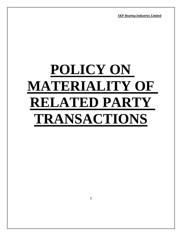*SKP Bearing Industries Limited*

# **POLICY ON MATERIALITY OF RELATED PARTY TRANSACTIONS**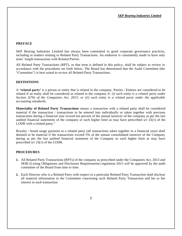# **PREFACE**

SKP Bearing Industries Limited has always been committed to good corporate governance practices, including in matters relating to Related Party Transactions. An endeavor is consistently made to have only arms' length transactions with Related Parties.

All Related Party Transactions (RPT), as that term is defined in this policy, shall be subject to review in accordance with the procedures set forth below. The Board has determined that the Audit Committee (the "Committee") is best suited to review all Related Party Transactions.

# **DEFINITIONS**

A **'related party'** is a person or entity that is related to the company. Parties / Entities are considered to be related if an entity shall be considered as related to the company if: *(i) such entity is a related party under Section 2(76) of the Companies Act, 2013; or (ii) such entity is a related party under the applicable accounting standards.*

**Materiality of Related Party Transactions** means a transaction with a related party shall be considered material if the transaction / transactions to be entered into individually or taken together with previous transactions during a financial year exceed ten percent of the annual turnover of the company as per the last audited financial statements of the company or such higher limit as may have prescribed u/r 23(1) of the LODR with a related party."

Royalty / brand usage payment to a related party (all transactions taken together in a financial year) shall deemed to be material if the transactions exceed 5% of the annual consolidated turnover of the Company during as per the last audited financial statement of the Company or such higher limit as may have prescribed u/r 23(1) of the LODR.

### **PROCEDURES**

- **1.** All Related Party Transactions (RPTs) of the company as prescribed under the Companies Act, 2013 and SEBI (Listing Obligations and Disclosure Requirements) regulation 2015 will be approved by the audit committee of the Board from time to time.
- **2.** Each Director who is a Related Party with respect to a particular Related Party Transaction shall disclose all material information to the Committee concerning such Related Party Transaction and his or her interest in such transaction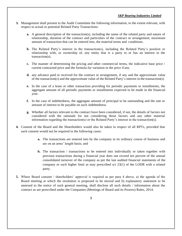# *SKP Bearing Industries Limited*

- **3.** Management shall present to the Audit Committee the following information, to the extent relevant, with respect to actual or potential Related Party Transactions:
	- **a.** A general description of the transaction(s), including the name of the related party and nature of relationship, duration of the contract and particulars of the contract or arrangement, maximum amount of transaction that can be entered into, the material terms and conditions.
	- **b.** The Related Party's interest in the transaction(s), including the Related Party's position or relationship with, or ownership of, any entity that is a party to or has an interest in the transaction(s).
	- **c.** The manner of determining the pricing and other commercial terms, the indicative base price / current contracted price and the formula for variation in the price if any.
	- **d.** any advance paid or received for the contract or arrangement, if any and the approximate value of the transaction(s) and the approximate value of the Related Party's interest in the transaction(s)
	- **e.** In the case of a lease or other transaction providing for periodic payments or installments, the aggregate amount of all periodic payments or installments expected to be made in the financial year.
	- **f.** In the case of indebtedness, the aggregate amount of principal to be outstanding and the rate or amount of interest to be payable on such indebtedness.
	- **g.** Whether all factors relevant to the contract have been considered, if not, the details of factors not considered with the rationale for not considering those factors and any other material information regarding the transaction(s) or the Related Party's interest in the transaction(s).
- **4.** Consent of the Board and the Shareholders would also be taken in respect of all RPTs, provided that such consent would not be required in the following cases:
	- **a.** The transactions are entered into by the company in its ordinary course of business and are on an arms' length basis; and
	- **b.** The transaction / transactions to be entered into individually or taken together with previous transactions during a financial year does not exceed ten percent of the annual consolidated turnover of the company as per the last audited financial statements of the company or such higher limit as may prescribed u/r 23(1) of the LODR with a related party.
- **5.** Where Board consent / shareholders' approval is required as per para 4 above, a) the agenda of the Board meeting at which the resolution is proposed to be moved and b) explanatory statement to be annexed to the notice of such general meeting, shall disclose all such details / information about the contract as are prescribed under the Companies (Meetings of Board and its Powers) Rules, 2014.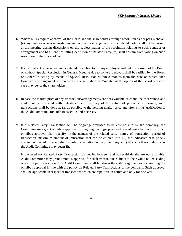- **6.** Where RPTs require approval of the Board and the shareholders through resolution as per para 4 above, (a) any director who is interested in any contract or arrangement with a related party, shall not be present at the meeting during discussions on the subject-matter of the resolution relating to such contract or arrangement and b) all entities falling definition of Related Party(ies) shall abstain from voting on such resolution of the shareholders.
- **7.** If any contract or arrangement is entered by a Director or any employee without the consent of the Board or without Special Resolution in General Meeting due to some urgency, it shall be ratified by the Board or General Meeting by means of Special Resolution within 3 months from the date on which such Contract or arrangement was entered into else it shall be Voidable at the option of the Board or as the case may be, of the shareholders.
- **8.** In case the market price of any transactions/arrangements are not available or cannot be ascertained and could not be executed with outsiders due to secrecy of the nature of products or formula, such transactions shall be done as far as possible to the nearing market price and after citing justification to the Audit committee for such transaction and necessity.
- **9.** If a Related Party Transaction will be ongoing/ proposed to be entered into by the company, the Committee may grant omnibus approval for ongoing dealings/ proposed related party transactions. Such omnibus approval shall specify (i) the name/s of the related party, nature of transaction, period of transaction, maximum amount of transaction that can be entered into, (ii) the indicative base price / current contracted price and the formula for variation in the price if any and (iii) such other conditions as the Audit Committee may deem fit.

If the need for Related Party Transaction cannot be foreseen and aforesaid details are not available, Audit Committee may grant omnibus approval for such transactions subject to their value not exceeding one crore per transaction. The Audit Committee shall lay down the criteria /guidelines for granting the omnibus approval in line with the policy on Related Party Transactions of the company. Such approval shall be applicable in respect of transactions which are repetitive in nature and only for one year.